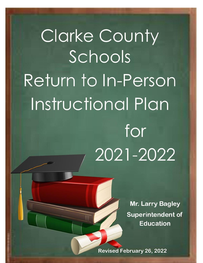# Clarke County Schools Return to In-Person Instructional Plan for 2021-2022

**Mr. Larry Bagley Superintendent of Education** 

1

**Revised February 26, 2022**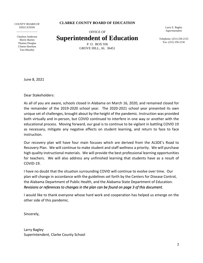COUNTY BOARD OF **EDUCATION** \_\_\_\_\_\_\_\_\_\_\_\_\_\_\_\_

**CLARKE COUNTY BOARD OF EDUCATION**

Charlton Anderson Sherry Barnes Thamus Douglas Clinton Hawkins Tara Moseley

OFFICE OF **Superintendent of Education** Larry E. Bagley *Superintendent*

Telephone: (251) 250-2155 Fax: (251) 250-2156

P. O. BOX 936 GROVE HILL, AL 36451

June 8, 2021

Dear Stakeholders:

As all of you are aware, schools closed in Alabama on March 16, 2020, and remained closed for the remainder of the 2019-2020 school year. The 2020-2021 school year presented its own unique set of challenges, brought about by the height of the pandemic. Instruction was provided both virtually and in-person, but COVID continued to interfere in one way or another with the educational process. Moving forward, our goal is to continue to be vigilant in battling COVID 19 as necessary, mitigate any negative effects on student learning, and return to face to face instruction.

Our recovery plan will have four main focuses which are derived from the ALSDE's Road to Recovery Plan. We will continue to make student and staff wellness a priority. We will purchase high quality instructional materials. We will provide the best professional learning opportunities for teachers. We will also address any unfinished learning that students have as a result of COVID-19.

I have no doubt that the situation surrounding COVID will continue to evolve over time. Our plan will change in accordance with the guidelines set forth by the Centers for Disease Control, the Alabama Department of Public Health, and the Alabama State Department of Education. *Revisions or references to changes in the plan can be found on page 3 of this document.*

I would like to thank everyone whose hard work and cooperation has helped us emerge on the other side of this pandemic.

Sincerely,

Larry Bagley Superintendent, Clarke County School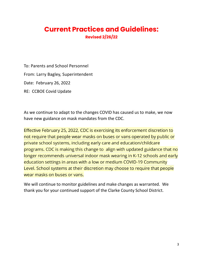#### **Current Practices and Guidelines: Revised 2/26/22**

To: Parents and School Personnel From: Larry Bagley, Superintendent Date: February 26, 2022 RE: CCBOE Covid Update

As we continue to adapt to the changes COVID has caused us to make, we now have new guidance on mask mandates from the CDC.

Effective February 25, 2022, CDC is exercising its enforcement discretion to not require that people wear masks on buses or vans operated by public or private school systems, including early care and education/childcare programs. CDC is making this change to align with updated guidance that no longer recommends universal indoor mask wearing in K-12 schools and early education settings in areas with a low or medium COVID-19 Community Level. School systems at their discretion may choose to require that people wear masks on buses or vans.

We will continue to monitor guidelines and make changes as warranted. We thank you for your continued support of the Clarke County School District.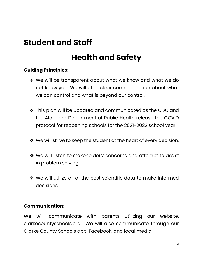### **Student and Staff**

### **Health and Safety**

#### **Guiding Principles:**

- ❖ We will be transparent about what we know and what we do not know yet. We will offer clear communication about what we can control and what is beyond our control.
- ❖ This plan will be updated and communicated as the CDC and the Alabama Department of Public Health release the COVID protocol for reopening schools for the 2021-2022 school year.
- ❖ We will strive to keep the student at the heart of every decision.
- ❖ We will listen to stakeholders' concerns and attempt to assist in problem solving.
- ❖ We will utilize all of the best scientific data to make informed decisions.

#### **Communication:**

We will communicate with parents utilizing our website, clarkecountyschools.org. We will also communicate through our Clarke County Schools app, Facebook, and local media.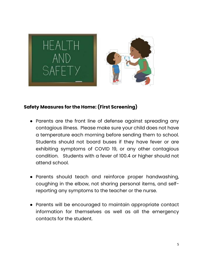

#### **Safety Measures for the Home: (First Screening)**

- Parents are the front line of defense against spreading any contagious illness. Please make sure your child does not have a temperature each morning before sending them to school. Students should not board buses if they have fever or are exhibiting symptoms of COVID 19, or any other contagious condition. Students with a fever of 100.4 or higher should not attend school.
- Parents should teach and reinforce proper handwashing, coughing in the elbow, not sharing personal items, and selfreporting any symptoms to the teacher or the nurse.
- Parents will be encouraged to maintain appropriate contact information for themselves as well as all the emergency contacts for the student.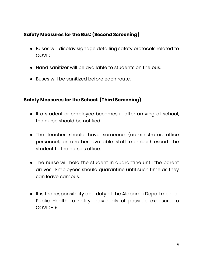#### **Safety Measures for the Bus: (Second Screening)**

- Buses will display signage detailing safety protocols related to COVID
- Hand sanitizer will be available to students on the bus.
- Buses will be sanitized before each route.

#### **Safety Measures for the School: (Third Screening)**

- If a student or employee becomes ill after arriving at school, the nurse should be notified.
- The teacher should have someone (administrator, office personnel, or another available staff member) escort the student to the nurse's office.
- The nurse will hold the student in quarantine until the parent arrives. Employees should quarantine until such time as they can leave campus.
- It is the responsibility and duty of the Alabama Department of Public Health to notify individuals of possible exposure to COVID-19.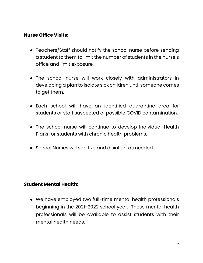#### **Nurse Office Visits:**

- Teachers/Staff should notify the school nurse before sending a student to them to limit the number of students in the nurse's office and limit exposure.
- The school nurse will work closely with administrators in developing a plan to isolate sick children until someone comes to get them.
- Each school will have an identified quarantine area for students or staff suspected of possible COVID contamination.
- The school nurse will continue to develop Individual Health Plans for students with chronic health problems.
- School Nurses will sanitize and disinfect as needed.

#### **Student Mental Health:**

● We have employed two full-time mental health professionals beginning in the 2021-2022 school year. These mental health professionals will be available to assist students with their mental health needs.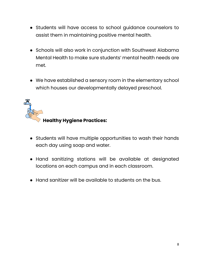- Students will have access to school guidance counselors to assist them in maintaining positive mental health.
- Schools will also work in conjunction with Southwest Alabama Mental Health to make sure students' mental health needs are met.
- We have established a sensory room in the elementary school which houses our developmentally delayed preschool.



- Students will have multiple opportunities to wash their hands each day using soap and water.
- Hand sanitizing stations will be available at designated locations on each campus and in each classroom.
- Hand sanitizer will be available to students on the bus.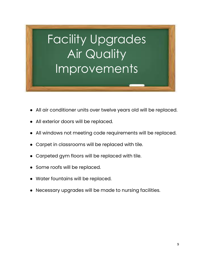# Facility Upgrades Air Quality Improvements

- All air conditioner units over twelve years old will be replaced.
- All exterior doors will be replaced.
- All windows not meeting code requirements will be replaced.
- Carpet in classrooms will be replaced with tile.
- Carpeted gym floors will be replaced with tile.
- Some roofs will be replaced.
- Water fountains will be replaced.
- Necessary upgrades will be made to nursing facilities.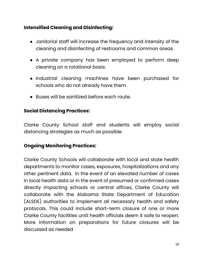#### **Intensified Cleaning and Disinfecting:**

- Janitorial staff will increase the frequency and intensity of the cleaning and disinfecting of restrooms and common areas.
- A private company has been employed to perform deep cleaning on a rotational basis.
- Industrial cleaning machines have been purchased for schools who do not already have them.
- Buses will be sanitized before each route.

#### **Social Distancing Practices:**

Clarke County School staff and students will employ social distancing strategies as much as possible.

#### **Ongoing Monitoring Practices:**

Clarke County Schools will collaborate with local and state health departments to monitor cases, exposures, hospitalizations and any other pertinent data. In the event of an elevated number of cases in local health data or in the event of presumed or confirmed cases directly impacting schools or central offices, Clarke County will collaborate with the Alabama State Department of Education (ALSDE) authorities to implement all necessary health and safety protocols. This could include short-term closure of one or more Clarke County facilities until health officials deem it safe to reopen. More information on preparations for future closures will be discussed as needed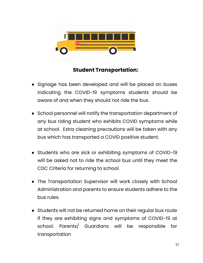

#### **Student Transportation:**

- Signage has been developed and will be placed on buses indicating the COVID-19 symptoms students should be aware of and when they should not ride the bus.
- School personnel will notify the transportation department of any bus riding student who exhibits COVID symptoms while at school. Extra cleaning precautions will be taken with any bus which has transported a COVID positive student.
- Students who are sick or exhibiting symptoms of COVID-19 will be asked not to ride the school bus until they meet the CDC Criteria for returning to school.
- The Transportation Supervisor will work closely with School Administration and parents to ensure students adhere to the bus rules.
- Students will not be returned home on their regular bus route if they are exhibiting signs and symptoms of COVID-19 at school. Parents/ Guardians will be responsible for transportation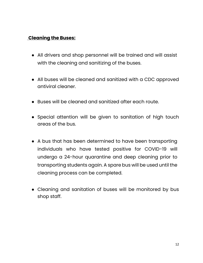#### **Cleaning the Buses:**

- All drivers and shop personnel will be trained and will assist with the cleaning and sanitizing of the buses.
- All buses will be cleaned and sanitized with a CDC approved antiviral cleaner.
- Buses will be cleaned and sanitized after each route.
- Special attention will be given to sanitation of high touch areas of the bus.
- A bus that has been determined to have been transporting individuals who have tested positive for COVID-19 will undergo a 24-hour quarantine and deep cleaning prior to transporting students again. A spare bus will be used until the cleaning process can be completed.
- Cleaning and sanitation of buses will be monitored by bus shop staff.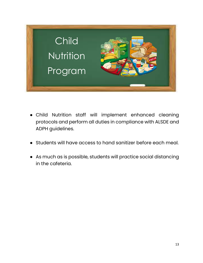

- Child Nutrition staff will implement enhanced cleaning protocols and perform all duties in compliance with ALSDE and ADPH guidelines.
- Students will have access to hand sanitizer before each meal.
- As much as is possible, students will practice social distancing in the cafeteria.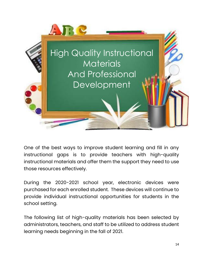

One of the best ways to improve student learning and fill in any instructional gaps is to provide teachers with high-quality instructional materials and offer them the support they need to use those resources effectively.

During the 2020-2021 school year, electronic devices were purchased for each enrolled student. These devices will continue to provide individual instructional opportunities for students in the school setting.

The following list of high-quality materials has been selected by administrators, teachers, and staff to be utilized to address student learning needs beginning in the fall of 2021.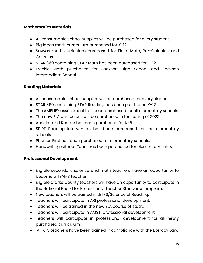#### **Mathematics Materials**

- All consumable school supplies will be purchased for every student.
- Big Ideas math curriculum purchased for K-12.
- Savvas math curriculum purchased for Finite Math, Pre-Calculus, and Calculus.
- STAR 360 containing STAR Math has been purchased for K-12.
- Freckle Math purchased for Jackson High School and Jackson Intermediate School.

#### **Reading Materials**

- All consumable school supplies will be purchased for every student.
- STAR 360 containing STAR Reading has been purchased K-12.
- The AMPLIFY assessment has been purchased for all elementary schools.
- The new ELA curriculum will be purchased in the spring of 2022.
- Accelerated Reader has been purchased for K-8.
- SPIRE Reading Intervention has been purchased for the elementary schools.
- Phonics First has been purchased for elementary schools.
- Handwriting without Tears has been purchased for elementary schools.

#### **Professional Development**

- Eligible secondary science and math teachers have an opportunity to become a TEAMS teacher
- Eligible Clarke County teachers will have an opportunity to participate in the National Board for Professional Teacher Standards program.
- New teachers will be trained in LETRS/Science of Reading.
- Teachers will participate in ARI professional development.
- Teachers will be trained in the new ELA course of study.
- Teachers will participate in AMSTI professional development.
- Teachers will participate in professional development for all newly purchased curriculum.
- All K-3 teachers have been trained in compliance with the Literacy Law.